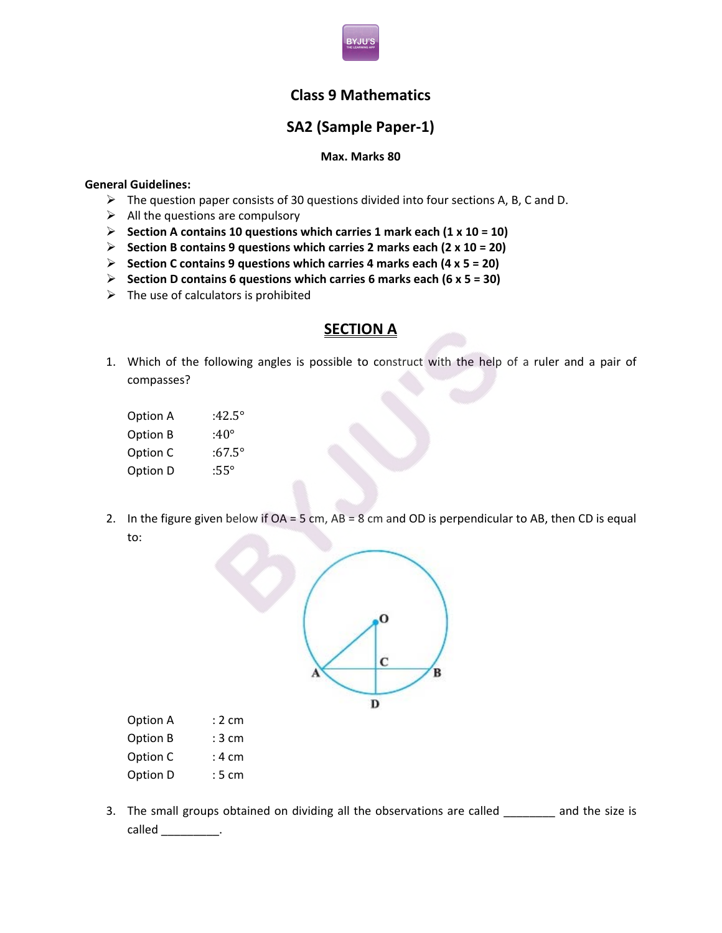

## **Class 9 Mathematics**

# **SA2 (Sample Paper-1)**

#### **Max. Marks 80**

#### **General Guidelines:**

- $\triangleright$  The question paper consists of 30 questions divided into four sections A, B, C and D.
- $\triangleright$  All the questions are compulsory
- **Section A contains 10 questions which carries 1 mark each (1 x 10 = 10)**
- **Section B contains 9 questions which carries 2 marks each (2 x 10 = 20)**
- **Section C contains 9 questions which carries 4 marks each (4 x 5 = 20)**
- **Section D contains 6 questions which carries 6 marks each (6 x 5 = 30)**
- $\triangleright$  The use of calculators is prohibited

## **SECTION A**

- 1. Which of the following angles is possible to construct with the help of a ruler and a pair of compasses?
	- Option A :42.5° Option B :40° Option C :67.5° Option D :55°
- 2. In the figure given below if OA = 5 cm, AB = 8 cm and OD is perpendicular to AB, then CD is equal to:



| Option A | : 2 cm |
|----------|--------|
| Option B | : 3 cm |
| Option C | : 4 cm |

- Option D : 5 cm
- 3. The small groups obtained on dividing all the observations are called \_\_\_\_\_\_\_ and the size is called \_\_\_\_\_\_\_\_\_\_.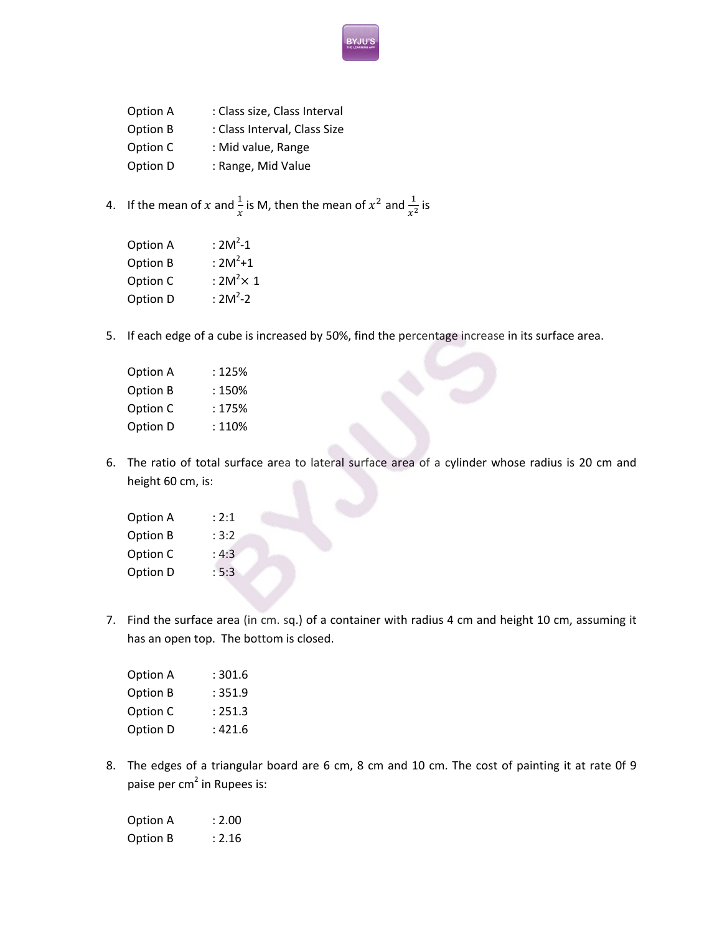- Option A : Class size, Class Interval Option B : Class Interval, Class Size Option C : Mid value, Range Option D : Range, Mid Value
- 4. If the mean of x and  $\frac{1}{x}$  is M, then the mean of  $x^2$  and  $\frac{1}{x^2}$  is

| Option A | : $2M^2 - 1$      |
|----------|-------------------|
| Option B | : $2M^2+1$        |
| Option C | : $2M^2 \times 1$ |
| Option D | : $2M^2 - 2$      |

5. If each edge of a cube is increased by 50%, find the percentage increase in its surface area.

| Option A | : 125% |
|----------|--------|
| Option B | : 150% |
| Option C | : 175% |
| Option D | : 110% |

6. The ratio of total surface area to lateral surface area of a cylinder whose radius is 20 cm and height 60 cm, is:

| Option A | : 2:1 |
|----------|-------|
| Option B | : 3:2 |
| Option C | : 4:3 |
| Option D | : 5:3 |

7. Find the surface area (in cm. sq.) of a container with radius 4 cm and height 10 cm, assuming it has an open top. The bottom is closed.

| Option A | : 301.6 |
|----------|---------|
| Option B | :351.9  |
| Option C | : 251.3 |
| Option D | : 421.6 |

8. The edges of a triangular board are 6 cm, 8 cm and 10 cm. The cost of painting it at rate 0f 9 paise per cm<sup>2</sup> in Rupees is:

| Option A | : 2.00 |
|----------|--------|
| Option B | : 2.16 |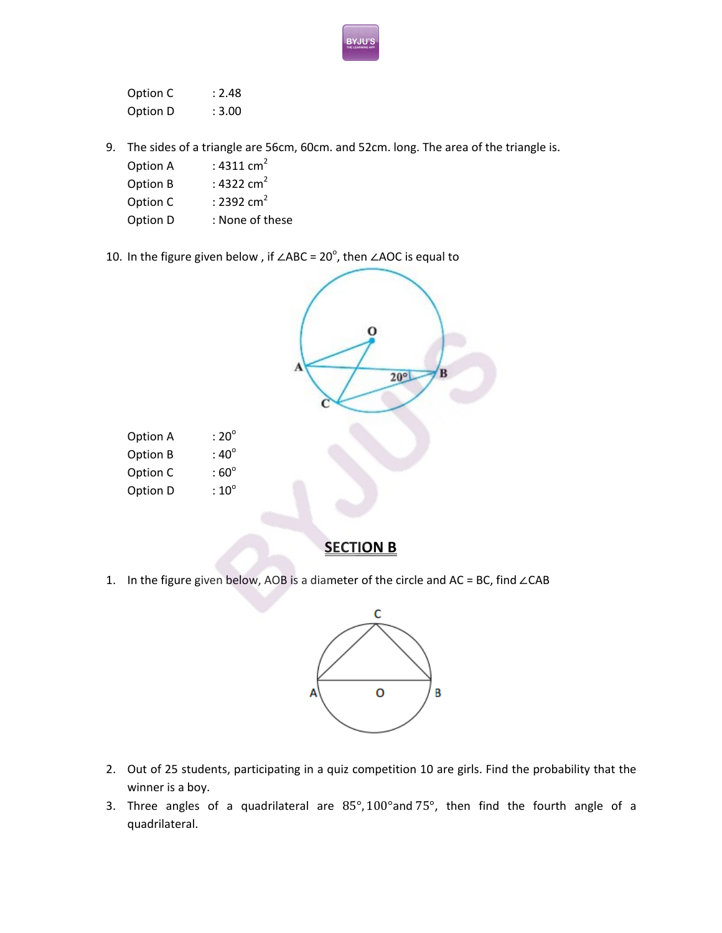| Option C | : 2.48 |
|----------|--------|
| Option D | : 3.00 |

- 9. The sides of a triangle are 56cm, 60cm. and 52cm. long. The area of the triangle is.
	- Option A :  $4311 \text{ cm}^2$
	- Option B :  $4322 \text{ cm}^2$
	- Option C  $\qquad$  : 2392 cm<sup>2</sup>
	- Option D : None of these
- 10. In the figure given below , if ∠ABC =  $20^{\circ}$ , then ∠AOC is equal to



## **SECTION B**

1. In the figure given below, AOB is a diameter of the circle and AC = BC, find ∠CAB



- 2. Out of 25 students, participating in a quiz competition 10 are girls. Find the probability that the winner is a boy.
- 3. Three angles of a quadrilateral are  $85^{\circ}$ ,  $100^{\circ}$  and  $75^{\circ}$ , then find the fourth angle of a quadrilateral.

YJUʻ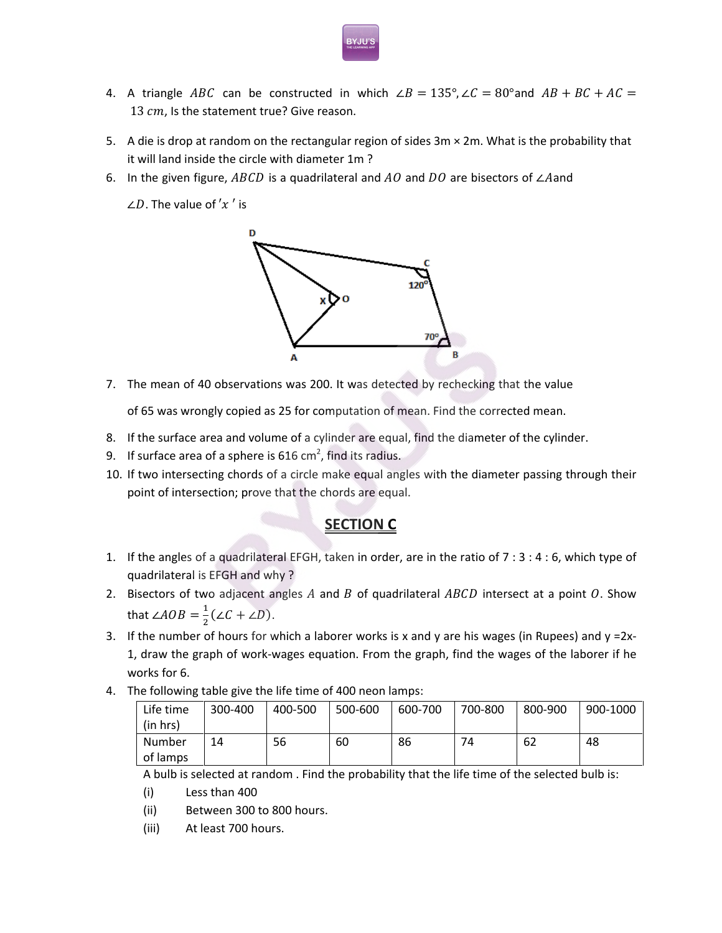- 4. A triangle ABC can be constructed in which  $\angle B = 135^\circ, \angle C = 80^\circ$  and  $AB + BC + AC =$ 13 cm, Is the statement true? Give reason.
- 5. A die is drop at random on the rectangular region of sides  $3m \times 2m$ . What is the probability that it will land inside the circle with diameter 1m ?
- 6. In the given figure, ABCD is a quadrilateral and  $AO$  and  $DO$  are bisectors of ∠Aand

 $\angle D$ . The value of 'x' is



7. The mean of 40 observations was 200. It was detected by rechecking that the value

of 65 was wrongly copied as 25 for computation of mean. Find the corrected mean.

- 8. If the surface area and volume of a cylinder are equal, find the diameter of the cylinder.
- 9. If surface area of a sphere is 616 cm<sup>2</sup>, find its radius.
- 10. If two intersecting chords of a circle make equal angles with the diameter passing through their point of intersection; prove that the chords are equal.

## **SECTION C**

- 1. If the angles of a quadrilateral EFGH, taken in order, are in the ratio of 7 : 3 : 4 : 6, which type of quadrilateral is EFGH and why ?
- 2. Bisectors of two adjacent angles  $A$  and  $B$  of quadrilateral  $ABCD$  intersect at a point  $O$ . Show that  $\angle AOB = \frac{1}{2} (\angle C + \angle D).$
- 3. If the number of hours for which a laborer works is x and y are his wages (in Rupees) and  $y = 2x$ -1, draw the graph of work-wages equation. From the graph, find the wages of the laborer if he works for 6.
- 4. The following table give the life time of 400 neon lamps:

| Life time | 300-400 | 400-500 | 500-600 | 600-700 | 700-800 | 800-900 | 900-1000 |
|-----------|---------|---------|---------|---------|---------|---------|----------|
| (in hrs)  |         |         |         |         |         |         |          |
| Number    | 14      | 56      | 60      | 86      | 74      | 62      | 48       |
| of lamps  |         |         |         |         |         |         |          |

A bulb is selected at random . Find the probability that the life time of the selected bulb is:

- (i) Less than 400
- (ii) Between 300 to 800 hours.
- (iii) At least 700 hours.